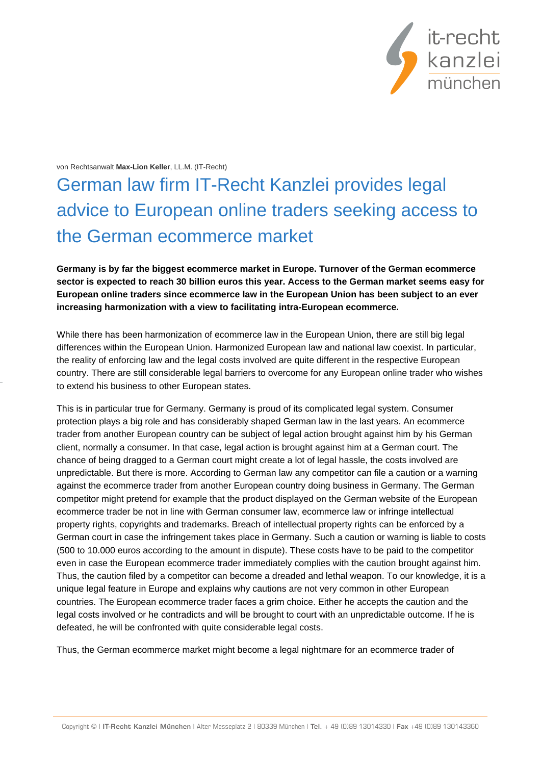

## von Rechtsanwalt **Max-Lion Keller**, LL.M. (IT-Recht)

## German law firm IT-Recht Kanzlei provides legal advice to European online traders seeking access to the German ecommerce market

**Germany is by far the biggest ecommerce market in Europe. Turnover of the German ecommerce sector is expected to reach 30 billion euros this year. Access to the German market seems easy for European online traders since ecommerce law in the European Union has been subject to an ever increasing harmonization with a view to facilitating intra-European ecommerce.**

While there has been harmonization of ecommerce law in the European Union, there are still big legal differences within the European Union. Harmonized European law and national law coexist. In particular, the reality of enforcing law and the legal costs involved are quite different in the respective European country. There are still considerable legal barriers to overcome for any European online trader who wishes to extend his business to other European states.

This is in particular true for Germany. Germany is proud of its complicated legal system. Consumer protection plays a big role and has considerably shaped German law in the last years. An ecommerce trader from another European country can be subject of legal action brought against him by his German client, normally a consumer. In that case, legal action is brought against him at a German court. The chance of being dragged to a German court might create a lot of legal hassle, the costs involved are unpredictable. But there is more. According to German law any competitor can file a caution or a warning against the ecommerce trader from another European country doing business in Germany. The German competitor might pretend for example that the product displayed on the German website of the European ecommerce trader be not in line with German consumer law, ecommerce law or infringe intellectual property rights, copyrights and trademarks. Breach of intellectual property rights can be enforced by a German court in case the infringement takes place in Germany. Such a caution or warning is liable to costs (500 to 10.000 euros according to the amount in dispute). These costs have to be paid to the competitor even in case the European ecommerce trader immediately complies with the caution brought against him. Thus, the caution filed by a competitor can become a dreaded and lethal weapon. To our knowledge, it is a unique legal feature in Europe and explains why cautions are not very common in other European countries. The European ecommerce trader faces a grim choice. Either he accepts the caution and the legal costs involved or he contradicts and will be brought to court with an unpredictable outcome. If he is defeated, he will be confronted with quite considerable legal costs.

Thus, the German ecommerce market might become a legal nightmare for an ecommerce trader of